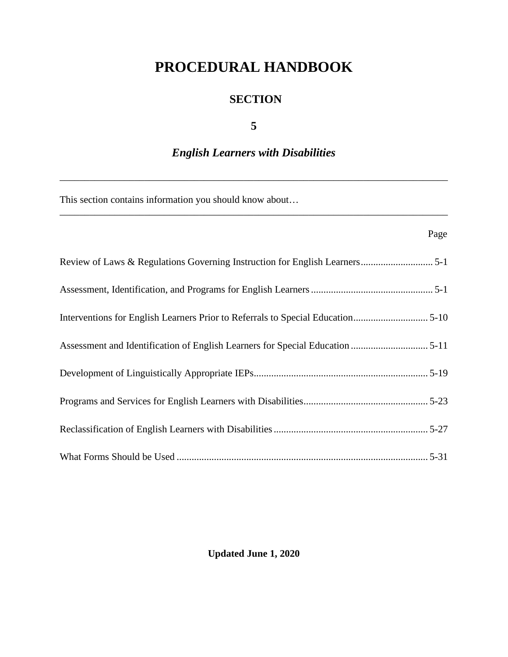# **PROCEDURAL HANDBOOK**

# **SECTION**

# **5**

# *English Learners with Disabilities*

\_\_\_\_\_\_\_\_\_\_\_\_\_\_\_\_\_\_\_\_\_\_\_\_\_\_\_\_\_\_\_\_\_\_\_\_\_\_\_\_\_\_\_\_\_\_\_\_\_\_\_\_\_\_\_\_\_\_\_\_\_\_\_\_\_\_\_\_\_\_\_\_\_\_\_\_\_\_

\_\_\_\_\_\_\_\_\_\_\_\_\_\_\_\_\_\_\_\_\_\_\_\_\_\_\_\_\_\_\_\_\_\_\_\_\_\_\_\_\_\_\_\_\_\_\_\_\_\_\_\_\_\_\_\_\_\_\_\_\_\_\_\_\_\_\_\_\_\_\_\_\_\_\_\_\_\_

This section contains information you should know about…

# Page **Page**

| Interventions for English Learners Prior to Referrals to Special Education5-10 |
|--------------------------------------------------------------------------------|
|                                                                                |
|                                                                                |
|                                                                                |
|                                                                                |
|                                                                                |

# **Updated June 1, 2020**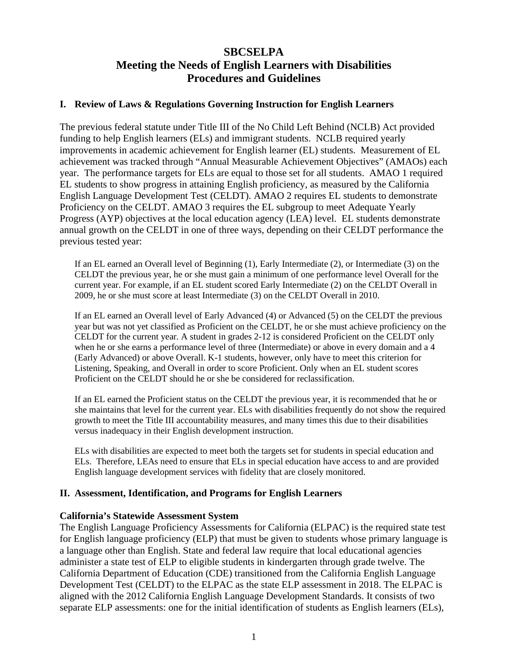# **SBCSELPA Meeting the Needs of English Learners with Disabilities Procedures and Guidelines**

#### **I. Review of Laws & Regulations Governing Instruction for English Learners**

The previous federal statute under Title III of the No Child Left Behind (NCLB) Act provided funding to help English learners (ELs) and immigrant students. NCLB required yearly improvements in academic achievement for English learner (EL) students. Measurement of EL achievement was tracked through "Annual Measurable Achievement Objectives" (AMAOs) each year. The performance targets for ELs are equal to those set for all students. AMAO 1 required EL students to show progress in attaining English proficiency, as measured by the California English Language Development Test (CELDT). AMAO 2 requires EL students to demonstrate Proficiency on the CELDT. AMAO 3 requires the EL subgroup to meet Adequate Yearly Progress (AYP) objectives at the local education agency (LEA) level. EL students demonstrate annual growth on the CELDT in one of three ways, depending on their CELDT performance the previous tested year:

If an EL earned an Overall level of Beginning (1), Early Intermediate (2), or Intermediate (3) on the CELDT the previous year, he or she must gain a minimum of one performance level Overall for the current year. For example, if an EL student scored Early Intermediate (2) on the CELDT Overall in 2009, he or she must score at least Intermediate (3) on the CELDT Overall in 2010.

If an EL earned an Overall level of Early Advanced (4) or Advanced (5) on the CELDT the previous year but was not yet classified as Proficient on the CELDT, he or she must achieve proficiency on the CELDT for the current year. A student in grades 2-12 is considered Proficient on the CELDT only when he or she earns a performance level of three (Intermediate) or above in every domain and a 4 (Early Advanced) or above Overall. K-1 students, however, only have to meet this criterion for Listening, Speaking, and Overall in order to score Proficient. Only when an EL student scores Proficient on the CELDT should he or she be considered for reclassification.

If an EL earned the Proficient status on the CELDT the previous year, it is recommended that he or she maintains that level for the current year. ELs with disabilities frequently do not show the required growth to meet the Title III accountability measures, and many times this due to their disabilities versus inadequacy in their English development instruction.

ELs with disabilities are expected to meet both the targets set for students in special education and ELs. Therefore, LEAs need to ensure that ELs in special education have access to and are provided English language development services with fidelity that are closely monitored.

#### **II. Assessment, Identification, and Programs for English Learners**

#### **California's Statewide Assessment System**

The English Language Proficiency Assessments for California (ELPAC) is the required state test for English language proficiency (ELP) that must be given to students whose primary language is a language other than English. State and federal law require that local educational agencies administer a state test of ELP to eligible students in kindergarten through grade twelve. The California Department of Education (CDE) transitioned from the California English Language Development Test (CELDT) to the ELPAC as the state ELP assessment in 2018. The ELPAC is aligned with the 2012 California English Language Development Standards. It consists of two separate ELP assessments: one for the initial identification of students as English learners (ELs),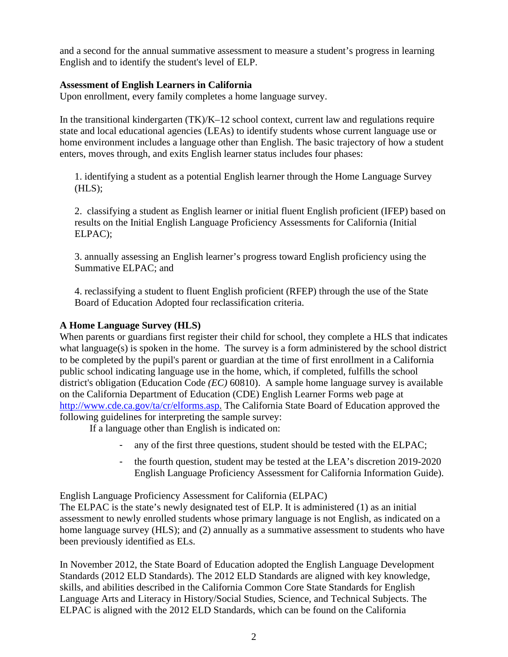and a second for the annual summative assessment to measure a student's progress in learning English and to identify the student's level of ELP.

#### **Assessment of English Learners in California**

Upon enrollment, every family completes a home language survey.

In the transitional kindergarten  $(TK)/K-12$  school context, current law and regulations require state and local educational agencies (LEAs) to identify students whose current language use or home environment includes a language other than English. The basic trajectory of how a student enters, moves through, and exits English learner status includes four phases:

1. identifying a student as a potential English learner through the Home Language Survey  $(HLS)$ ;

2. classifying a student as English learner or initial fluent English proficient (IFEP) based on results on the Initial English Language Proficiency Assessments for California (Initial ELPAC);

3. annually assessing an English learner's progress toward English proficiency using the Summative ELPAC; and

4. reclassifying a student to fluent English proficient (RFEP) through the use of the State Board of Education Adopted four reclassification criteria.

# **A Home Language Survey (HLS)**

When parents or guardians first register their child for school, they complete a HLS that indicates what language $(s)$  is spoken in the home. The survey is a form administered by the school district to be completed by the pupil's parent or guardian at the time of first enrollment in a California public school indicating language use in the home, which, if completed, fulfills the school district's obligation (Education Code *(EC)* 60810). A sample home language survey is available on the California Department of Education (CDE) English Learner Forms web page at [http://www.cde.ca.gov/ta/cr/elforms.asp.](http://www.cde.ca.gov/ta/cr/elforms.asp) The California State Board of Education approved the following guidelines for interpreting the sample survey:

If a language other than English is indicated on:

- any of the first three questions, student should be tested with the ELPAC;
- the fourth question, student may be tested at the LEA's discretion 2019-2020 English Language Proficiency Assessment for California Information Guide).

English Language Proficiency Assessment for California (ELPAC)

The ELPAC is the state's newly designated test of ELP. It is administered (1) as an initial assessment to newly enrolled students whose primary language is not English, as indicated on a home language survey (HLS); and (2) annually as a summative assessment to students who have been previously identified as ELs.

In November 2012, the State Board of Education adopted the English Language Development Standards (2012 ELD Standards). The 2012 ELD Standards are aligned with key knowledge, skills, and abilities described in the California Common Core State Standards for English Language Arts and Literacy in History/Social Studies, Science, and Technical Subjects. The ELPAC is aligned with the 2012 ELD Standards, which can be found on the California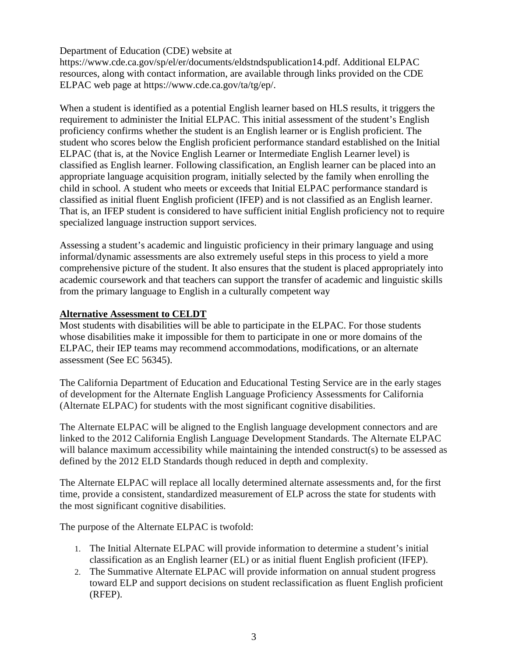#### Department of Education (CDE) website at

https://www.cde.ca.gov/sp/el/er/documents/eldstndspublication14.pdf. Additional ELPAC resources, along with contact information, are available through links provided on the CDE ELPAC web page at https://www.cde.ca.gov/ta/tg/ep/.

When a student is identified as a potential English learner based on HLS results, it triggers the requirement to administer the Initial ELPAC. This initial assessment of the student's English proficiency confirms whether the student is an English learner or is English proficient. The student who scores below the English proficient performance standard established on the Initial ELPAC (that is, at the Novice English Learner or Intermediate English Learner level) is classified as English learner. Following classification, an English learner can be placed into an appropriate language acquisition program, initially selected by the family when enrolling the child in school. A student who meets or exceeds that Initial ELPAC performance standard is classified as initial fluent English proficient (IFEP) and is not classified as an English learner. That is, an IFEP student is considered to have sufficient initial English proficiency not to require specialized language instruction support services.

Assessing a student's academic and linguistic proficiency in their primary language and using informal/dynamic assessments are also extremely useful steps in this process to yield a more comprehensive picture of the student. It also ensures that the student is placed appropriately into academic coursework and that teachers can support the transfer of academic and linguistic skills from the primary language to English in a culturally competent way

#### **Alternative Assessment to CELDT**

Most students with disabilities will be able to participate in the ELPAC. For those students whose disabilities make it impossible for them to participate in one or more domains of the ELPAC, their IEP teams may recommend accommodations, modifications, or an alternate assessment (See EC 56345).

The California Department of Education and Educational Testing Service are in the early stages of development for the Alternate English Language Proficiency Assessments for California (Alternate ELPAC) for students with the most significant cognitive disabilities.

The Alternate ELPAC will be aligned to the English language development connectors and are linked to the 2012 California English Language Development Standards. The Alternate ELPAC will balance maximum accessibility while maintaining the intended construct(s) to be assessed as defined by the 2012 ELD Standards though reduced in depth and complexity.

The Alternate ELPAC will replace all locally determined alternate assessments and, for the first time, provide a consistent, standardized measurement of ELP across the state for students with the most significant cognitive disabilities.

The purpose of the Alternate ELPAC is twofold:

- 1. The Initial Alternate ELPAC will provide information to determine a student's initial classification as an English learner (EL) or as initial fluent English proficient (IFEP).
- 2. The Summative Alternate ELPAC will provide information on annual student progress toward ELP and support decisions on student reclassification as fluent English proficient (RFEP).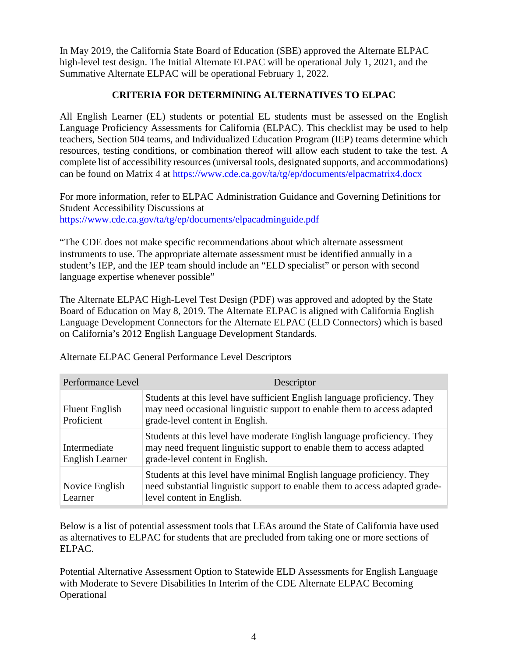In May 2019, the California State Board of Education (SBE) approved the Alternate ELPAC high-level test design. The Initial Alternate ELPAC will be operational July 1, 2021, and the Summative Alternate ELPAC will be operational February 1, 2022.

# **CRITERIA FOR DETERMINING ALTERNATIVES TO ELPAC**

All English Learner (EL) students or potential EL students must be assessed on the English Language Proficiency Assessments for California (ELPAC). This checklist may be used to help teachers, Section 504 teams, and Individualized Education Program (IEP) teams determine which resources, testing conditions, or combination thereof will allow each student to take the test. A complete list of accessibility resources (universal tools, designated supports, and accommodations) can be found on Matrix 4 at<https://www.cde.ca.gov/ta/tg/ep/documents/elpacmatrix4.docx>

For more information, refer to ELPAC Administration Guidance and Governing Definitions for Student Accessibility Discussions at <https://www.cde.ca.gov/ta/tg/ep/documents/elpacadminguide.pdf>

"The CDE does not make specific recommendations about which alternate assessment instruments to use. The appropriate alternate assessment must be identified annually in a student's IEP, and the IEP team should include an "ELD specialist" or person with second language expertise whenever possible"

The Alternate ELPAC High-Level Test Design (PDF) was approved and adopted by the State Board of Education on May 8, 2019. The Alternate ELPAC is aligned with California English Language Development Connectors for the Alternate ELPAC (ELD Connectors) which is based on California's 2012 English Language [Development](http://www.cde.ca.gov/sp/el/er/eldstandards.asp) [Standards.](http://www.cde.ca.gov/sp/el/er/eldstandards.asp)

| Performance Level                      | Descriptor                                                                                                                                                                              |
|----------------------------------------|-----------------------------------------------------------------------------------------------------------------------------------------------------------------------------------------|
| <b>Fluent English</b><br>Proficient    | Students at this level have sufficient English language proficiency. They<br>may need occasional linguistic support to enable them to access adapted<br>grade-level content in English. |
| Intermediate<br><b>English Learner</b> | Students at this level have moderate English language proficiency. They<br>may need frequent linguistic support to enable them to access adapted<br>grade-level content in English.     |
| Novice English<br>Learner              | Students at this level have minimal English language proficiency. They<br>need substantial linguistic support to enable them to access adapted grade-<br>level content in English.      |

Alternate ELPAC General Performance Level Descriptors

Below is a list of potential assessment tools that LEAs around the State of California have used as alternatives to ELPAC for students that are precluded from taking one or more sections of ELPAC.

Potential Alternative Assessment Option to Statewide ELD Assessments for English Language with Moderate to Severe Disabilities In Interim of the CDE Alternate ELPAC Becoming **Operational**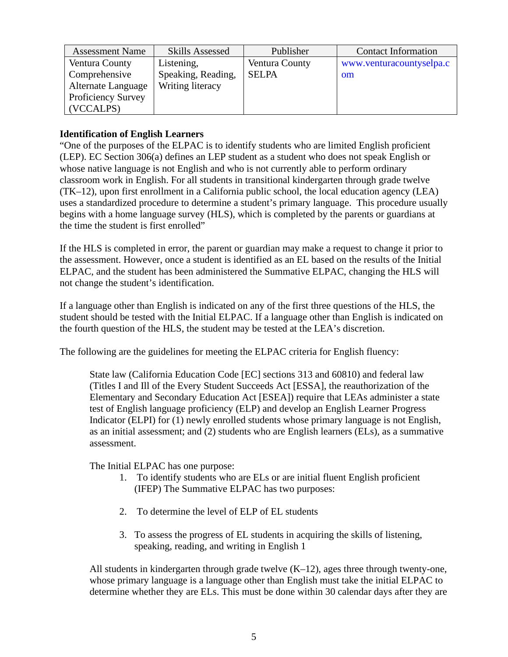| <b>Assessment Name</b>    | <b>Skills Assessed</b> | Publisher      | <b>Contact Information</b> |
|---------------------------|------------------------|----------------|----------------------------|
| Ventura County            | Listening,             | Ventura County | www.venturacountyselpa.c   |
| Comprehensive             | Speaking, Reading,     | <b>SELPA</b>   | om                         |
| Alternate Language        | Writing literacy       |                |                            |
| <b>Proficiency Survey</b> |                        |                |                            |
| (VCCALPS)                 |                        |                |                            |

#### **Identification of English Learners**

"One of the purposes of the ELPAC is to identify students who are limited English proficient (LEP). EC Section 306(a) defines an LEP student as a student who does not speak English or whose native language is not English and who is not currently able to perform ordinary classroom work in English. For all students in transitional kindergarten through grade twelve (TK–12), upon first enrollment in a California public school, the local education agency (LEA) uses a standardized procedure to determine a student's primary language. This procedure usually begins with a home language survey (HLS), which is completed by the parents or guardians at the time the student is first enrolled"

If the HLS is completed in error, the parent or guardian may make a request to change it prior to the assessment. However, once a student is identified as an EL based on the results of the Initial ELPAC, and the student has been administered the Summative ELPAC, changing the HLS will not change the student's identification.

If a language other than English is indicated on any of the first three questions of the HLS, the student should be tested with the Initial ELPAC. If a language other than English is indicated on the fourth question of the HLS, the student may be tested at the LEA's discretion.

The following are the guidelines for meeting the ELPAC criteria for English fluency:

State law (California Education Code [EC] sections 313 and 60810) and federal law (Titles I and Ill of the Every Student Succeeds Act [ESSA], the reauthorization of the Elementary and Secondary Education Act [ESEA]) require that LEAs administer a state test of English language proficiency (ELP) and develop an English Learner Progress Indicator (ELPI) for (1) newly enrolled students whose primary language is not English, as an initial assessment; and (2) students who are English learners (ELs), as a summative assessment.

The Initial ELPAC has one purpose:

- 1. To identify students who are ELs or are initial fluent English proficient (IFEP) The Summative ELPAC has two purposes:
- 2. To determine the level of ELP of EL students
- 3. To assess the progress of EL students in acquiring the skills of listening, speaking, reading, and writing in English 1

All students in kindergarten through grade twelve  $(K-12)$ , ages three through twenty-one, whose primary language is a language other than English must take the initial ELPAC to determine whether they are ELs. This must be done within 30 calendar days after they are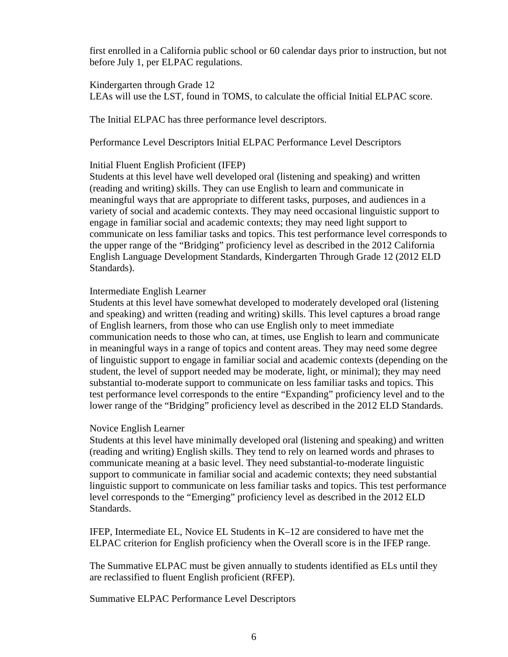first enrolled in a California public school or 60 calendar days prior to instruction, but not before July 1, per ELPAC regulations.

Kindergarten through Grade 12 LEAs will use the LST, found in TOMS, to calculate the official Initial ELPAC score.

The Initial ELPAC has three performance level descriptors.

Performance Level Descriptors Initial ELPAC Performance Level Descriptors

#### Initial Fluent English Proficient (IFEP)

Students at this level have well developed oral (listening and speaking) and written (reading and writing) skills. They can use English to learn and communicate in meaningful ways that are appropriate to different tasks, purposes, and audiences in a variety of social and academic contexts. They may need occasional linguistic support to engage in familiar social and academic contexts; they may need light support to communicate on less familiar tasks and topics. This test performance level corresponds to the upper range of the "Bridging" proficiency level as described in the 2012 California English Language Development Standards, Kindergarten Through Grade 12 (2012 ELD Standards).

#### Intermediate English Learner

Students at this level have somewhat developed to moderately developed oral (listening and speaking) and written (reading and writing) skills. This level captures a broad range of English learners, from those who can use English only to meet immediate communication needs to those who can, at times, use English to learn and communicate in meaningful ways in a range of topics and content areas. They may need some degree of linguistic support to engage in familiar social and academic contexts (depending on the student, the level of support needed may be moderate, light, or minimal); they may need substantial to-moderate support to communicate on less familiar tasks and topics. This test performance level corresponds to the entire "Expanding" proficiency level and to the lower range of the "Bridging" proficiency level as described in the 2012 ELD Standards.

#### Novice English Learner

Students at this level have minimally developed oral (listening and speaking) and written (reading and writing) English skills. They tend to rely on learned words and phrases to communicate meaning at a basic level. They need substantial-to-moderate linguistic support to communicate in familiar social and academic contexts; they need substantial linguistic support to communicate on less familiar tasks and topics. This test performance level corresponds to the "Emerging" proficiency level as described in the 2012 ELD Standards.

IFEP, Intermediate EL, Novice EL Students in K–12 are considered to have met the ELPAC criterion for English proficiency when the Overall score is in the IFEP range.

The Summative ELPAC must be given annually to students identified as ELs until they are reclassified to fluent English proficient (RFEP).

Summative ELPAC Performance Level Descriptors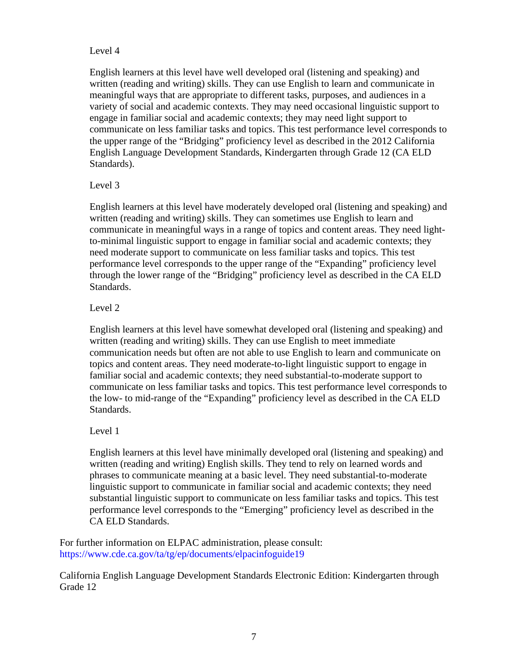#### Level 4

English learners at this level have well developed oral (listening and speaking) and written (reading and writing) skills. They can use English to learn and communicate in meaningful ways that are appropriate to different tasks, purposes, and audiences in a variety of social and academic contexts. They may need occasional linguistic support to engage in familiar social and academic contexts; they may need light support to communicate on less familiar tasks and topics. This test performance level corresponds to the upper range of the "Bridging" proficiency level as described in the 2012 California English Language Development Standards, Kindergarten through Grade 12 (CA ELD Standards).

#### Level 3

English learners at this level have moderately developed oral (listening and speaking) and written (reading and writing) skills. They can sometimes use English to learn and communicate in meaningful ways in a range of topics and content areas. They need lightto-minimal linguistic support to engage in familiar social and academic contexts; they need moderate support to communicate on less familiar tasks and topics. This test performance level corresponds to the upper range of the "Expanding" proficiency level through the lower range of the "Bridging" proficiency level as described in the CA ELD Standards.

# Level 2

English learners at this level have somewhat developed oral (listening and speaking) and written (reading and writing) skills. They can use English to meet immediate communication needs but often are not able to use English to learn and communicate on topics and content areas. They need moderate-to-light linguistic support to engage in familiar social and academic contexts; they need substantial-to-moderate support to communicate on less familiar tasks and topics. This test performance level corresponds to the low- to mid-range of the "Expanding" proficiency level as described in the CA ELD Standards.

# Level 1

English learners at this level have minimally developed oral (listening and speaking) and written (reading and writing) English skills. They tend to rely on learned words and phrases to communicate meaning at a basic level. They need substantial-to-moderate linguistic support to communicate in familiar social and academic contexts; they need substantial linguistic support to communicate on less familiar tasks and topics. This test performance level corresponds to the "Emerging" proficiency level as described in the CA ELD Standards.

For further information on ELPAC administration, please consult: <https://www.cde.ca.gov/ta/tg/ep/documents/elpacinfoguide19>

California English Language Development Standards Electronic Edition: Kindergarten through Grade 12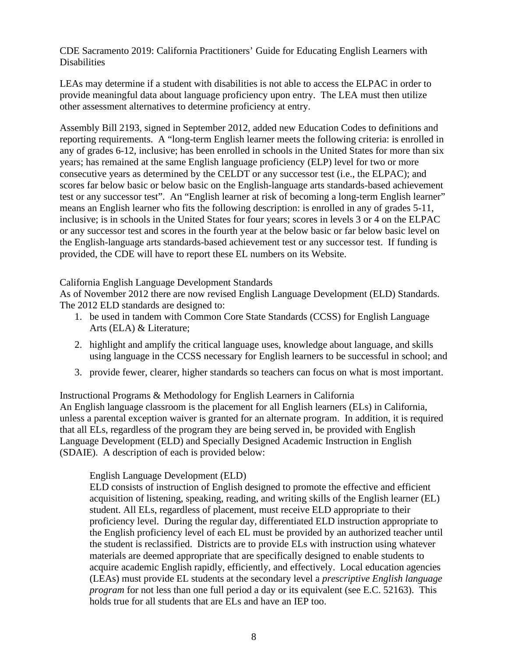CDE Sacramento 2019: California Practitioners' Guide for Educating English Learners with **Disabilities** 

LEAs may determine if a student with disabilities is not able to access the ELPAC in order to provide meaningful data about language proficiency upon entry. The LEA must then utilize other assessment alternatives to determine proficiency at entry.

Assembly Bill 2193, signed in September 2012, added new Education Codes to definitions and reporting requirements. A "long-term English learner meets the following criteria: is enrolled in any of grades 6-12, inclusive; has been enrolled in schools in the United States for more than six years; has remained at the same English language proficiency (ELP) level for two or more consecutive years as determined by the CELDT or any successor test (i.e., the ELPAC); and scores far below basic or below basic on the English-language arts standards-based achievement test or any successor test". An "English learner at risk of becoming a long-term English learner" means an English learner who fits the following description: is enrolled in any of grades 5-11, inclusive; is in schools in the United States for four years; scores in levels 3 or 4 on the ELPAC or any successor test and scores in the fourth year at the below basic or far below basic level on the English-language arts standards-based achievement test or any successor test. If funding is provided, the CDE will have to report these EL numbers on its Website.

#### California English Language Development Standards

As of November 2012 there are now revised English Language Development (ELD) Standards. The 2012 ELD standards are designed to:

- 1. be used in tandem with Common Core State Standards (CCSS) for English Language Arts (ELA) & Literature;
- 2. highlight and amplify the critical language uses, knowledge about language, and skills using language in the CCSS necessary for English learners to be successful in school; and
- 3. provide fewer, clearer, higher standards so teachers can focus on what is most important.

Instructional Programs & Methodology for English Learners in California An English language classroom is the placement for all English learners (ELs) in California, unless a parental exception waiver is granted for an alternate program. In addition, it is required that all ELs, regardless of the program they are being served in, be provided with English Language Development (ELD) and Specially Designed Academic Instruction in English (SDAIE). A description of each is provided below:

# English Language Development (ELD)

ELD consists of instruction of English designed to promote the effective and efficient acquisition of listening, speaking, reading, and writing skills of the English learner (EL) student. All ELs, regardless of placement, must receive ELD appropriate to their proficiency level. During the regular day, differentiated ELD instruction appropriate to the English proficiency level of each EL must be provided by an authorized teacher until the student is reclassified. Districts are to provide ELs with instruction using whatever materials are deemed appropriate that are specifically designed to enable students to acquire academic English rapidly, efficiently, and effectively. Local education agencies (LEAs) must provide EL students at the secondary level a *prescriptive English language program* for not less than one full period a day or its equivalent (see E.C. 52163). This holds true for all students that are ELs and have an IEP too.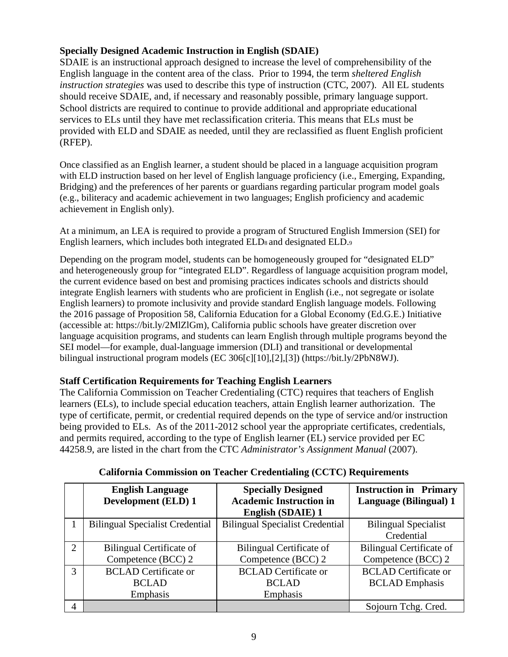# **Specially Designed Academic Instruction in English (SDAIE)**

SDAIE is an instructional approach designed to increase the level of comprehensibility of the English language in the content area of the class. Prior to 1994, the term *sheltered English instruction strategies* was used to describe this type of instruction (CTC, 2007). All EL students should receive SDAIE, and, if necessary and reasonably possible, primary language support. School districts are required to continue to provide additional and appropriate educational services to ELs until they have met reclassification criteria. This means that ELs must be provided with ELD and SDAIE as needed, until they are reclassified as fluent English proficient (RFEP).

Once classified as an English learner, a student should be placed in a language acquisition program with ELD instruction based on her level of English language proficiency (i.e., Emerging, Expanding, Bridging) and the preferences of her parents or guardians regarding particular program model goals (e.g., biliteracy and academic achievement in two languages; English proficiency and academic achievement in English only).

At a minimum, an LEA is required to provide a program of Structured English Immersion (SEI) for English learners, which includes both integrated ELDs and designated ELD.9

Depending on the program model, students can be homogeneously grouped for "designated ELD" and heterogeneously group for "integrated ELD". Regardless of language acquisition program model, the current evidence based on best and promising practices indicates schools and districts should integrate English learners with students who are proficient in English (i.e., not segregate or isolate English learners) to promote inclusivity and provide standard English language models. Following the 2016 passage of Proposition 58, California Education for a Global Economy (Ed.G.E.) Initiative (accessible at: https://bit.ly/2MlZlGm), California public schools have greater discretion over language acquisition programs, and students can learn English through multiple programs beyond the SEI model—for example, dual-language immersion (DLI) and transitional or developmental bilingual instructional program models (EC 306[c][10],[2],[3]) (https://bit.ly/2PbN8WJ).

# **Staff Certification Requirements for Teaching English Learners**

The California Commission on Teacher Credentialing (CTC) requires that teachers of English learners (ELs), to include special education teachers, attain English learner authorization. The type of certificate, permit, or credential required depends on the type of service and/or instruction being provided to ELs. As of the 2011-2012 school year the appropriate certificates, credentials, and permits required, according to the type of English learner (EL) service provided per EC 44258.9, are listed in the chart from the CTC *Administrator's Assignment Manual* (2007).

|                             | <b>English Language</b>                | <b>Specially Designed</b>              | <b>Instruction in Primary</b> |  |
|-----------------------------|----------------------------------------|----------------------------------------|-------------------------------|--|
|                             | <b>Development (ELD) 1</b>             | <b>Academic Instruction in</b>         | Language (Bilingual) 1        |  |
|                             |                                        | English (SDAIE) 1                      |                               |  |
|                             | <b>Bilingual Specialist Credential</b> | <b>Bilingual Specialist Credential</b> | <b>Bilingual Specialist</b>   |  |
|                             |                                        |                                        | Credential                    |  |
| $\mathcal{D}_{\mathcal{L}}$ | Bilingual Certificate of               | <b>Bilingual Certificate of</b>        | Bilingual Certificate of      |  |
|                             | Competence (BCC) 2                     | Competence (BCC) 2                     | Competence (BCC) 2            |  |
| $\mathcal{R}$               | <b>BCLAD</b> Certificate or            | <b>BCLAD</b> Certificate or            | <b>BCLAD</b> Certificate or   |  |
|                             | <b>BCLAD</b>                           | <b>BCLAD</b>                           | <b>BCLAD</b> Emphasis         |  |
|                             | Emphasis                               | Emphasis                               |                               |  |
| 4                           |                                        |                                        | Sojourn Tchg. Cred.           |  |

# **California Commission on Teacher Credentialing (CCTC) Requirements**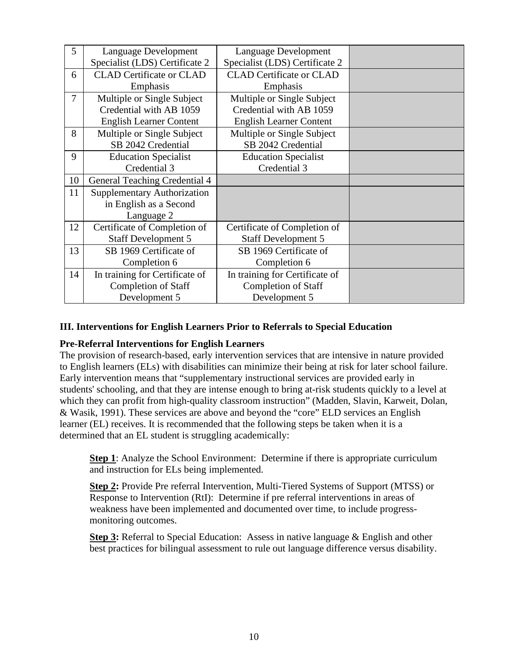| 5              | Language Development               | Language Development            |  |
|----------------|------------------------------------|---------------------------------|--|
|                | Specialist (LDS) Certificate 2     | Specialist (LDS) Certificate 2  |  |
| 6              | <b>CLAD</b> Certificate or CLAD    | <b>CLAD</b> Certificate or CLAD |  |
|                | Emphasis                           | Emphasis                        |  |
| $\overline{7}$ | Multiple or Single Subject         | Multiple or Single Subject      |  |
|                | Credential with AB 1059            | Credential with AB 1059         |  |
|                | <b>English Learner Content</b>     | <b>English Learner Content</b>  |  |
| 8              | Multiple or Single Subject         | Multiple or Single Subject      |  |
|                | SB 2042 Credential                 | SB 2042 Credential              |  |
| 9              | <b>Education Specialist</b>        | <b>Education Specialist</b>     |  |
|                | Credential 3                       | Credential 3                    |  |
| 10             | General Teaching Credential 4      |                                 |  |
| 11             | <b>Supplementary Authorization</b> |                                 |  |
|                | in English as a Second             |                                 |  |
|                | Language 2                         |                                 |  |
| 12             | Certificate of Completion of       | Certificate of Completion of    |  |
|                | <b>Staff Development 5</b>         | Staff Development 5             |  |
| 13             | SB 1969 Certificate of             | SB 1969 Certificate of          |  |
|                | Completion 6                       | Completion 6                    |  |
| 14             | In training for Certificate of     | In training for Certificate of  |  |
|                | <b>Completion of Staff</b>         | <b>Completion of Staff</b>      |  |
|                | Development 5                      | Development 5                   |  |

# **III. Interventions for English Learners Prior to Referrals to Special Education**

# **Pre-Referral Interventions for English Learners**

The provision of research-based, early intervention services that are intensive in nature provided to English learners (ELs) with disabilities can minimize their being at risk for later school failure. Early intervention means that "supplementary instructional services are provided early in students' schooling, and that they are intense enough to bring at-risk students quickly to a level at which they can profit from high-quality classroom instruction" (Madden, Slavin, Karweit, Dolan, & Wasik, 1991). These services are above and beyond the "core" ELD services an English learner (EL) receives. It is recommended that the following steps be taken when it is a determined that an EL student is struggling academically:

**Step 1**: Analyze the School Environment: Determine if there is appropriate curriculum and instruction for ELs being implemented.

**Step 2:** Provide Pre referral Intervention, Multi-Tiered Systems of Support (MTSS) or Response to Intervention (RtI): Determine if pre referral interventions in areas of weakness have been implemented and documented over time, to include progressmonitoring outcomes.

**Step 3:** Referral to Special Education: Assess in native language & English and other best practices for bilingual assessment to rule out language difference versus disability.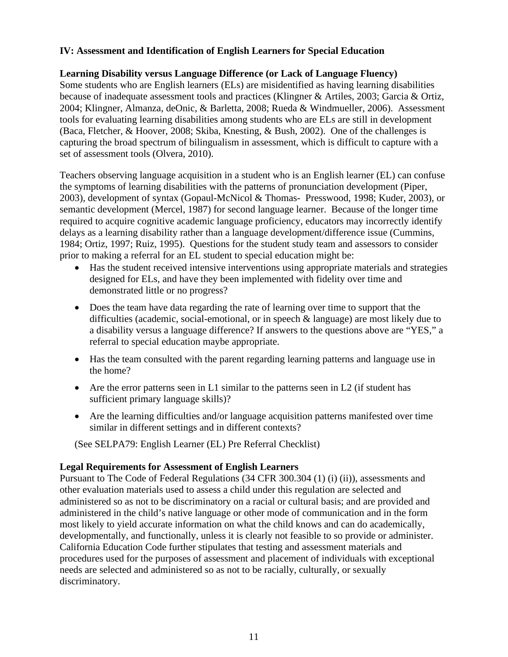# **IV: Assessment and Identification of English Learners for Special Education**

#### **Learning Disability versus Language Difference (or Lack of Language Fluency)**

Some students who are English learners (ELs) are misidentified as having learning disabilities because of inadequate assessment tools and practices (Klingner & Artiles, 2003; Garcia & Ortiz, 2004; Klingner, Almanza, deOnic, & Barletta, 2008; Rueda & Windmueller, 2006). Assessment tools for evaluating learning disabilities among students who are ELs are still in development (Baca, Fletcher, & Hoover, 2008; Skiba, Knesting, & Bush, 2002). One of the challenges is capturing the broad spectrum of bilingualism in assessment, which is difficult to capture with a set of assessment tools (Olvera, 2010).

Teachers observing language acquisition in a student who is an English learner (EL) can confuse the symptoms of learning disabilities with the patterns of pronunciation development (Piper, 2003), development of syntax (Gopaul-McNicol & Thomas- Presswood, 1998; Kuder, 2003), or semantic development (Mercel, 1987) for second language learner. Because of the longer time required to acquire cognitive academic language proficiency, educators may incorrectly identify delays as a learning disability rather than a language development/difference issue (Cummins, 1984; Ortiz, 1997; Ruiz, 1995). Questions for the student study team and assessors to consider prior to making a referral for an EL student to special education might be:

- Has the student received intensive interventions using appropriate materials and strategies designed for ELs, and have they been implemented with fidelity over time and demonstrated little or no progress?
- Does the team have data regarding the rate of learning over time to support that the difficulties (academic, social-emotional, or in speech & language) are most likely due to a disability versus a language difference? If answers to the questions above are "YES," a referral to special education maybe appropriate.
- Has the team consulted with the parent regarding learning patterns and language use in the home?
- Are the error patterns seen in L1 similar to the patterns seen in L2 (if student has sufficient primary language skills)?
- Are the learning difficulties and/or language acquisition patterns manifested over time similar in different settings and in different contexts?

(See SELPA79: English Learner (EL) Pre Referral Checklist)

#### **Legal Requirements for Assessment of English Learners**

Pursuant to The Code of Federal Regulations (34 CFR 300.304 (1) (i) (ii)), assessments and other evaluation materials used to assess a child under this regulation are selected and administered so as not to be discriminatory on a racial or cultural basis; and are provided and administered in the child's native language or other mode of communication and in the form most likely to yield accurate information on what the child knows and can do academically, developmentally, and functionally, unless it is clearly not feasible to so provide or administer. California Education Code further stipulates that testing and assessment materials and procedures used for the purposes of assessment and placement of individuals with exceptional needs are selected and administered so as not to be racially, culturally, or sexually discriminatory.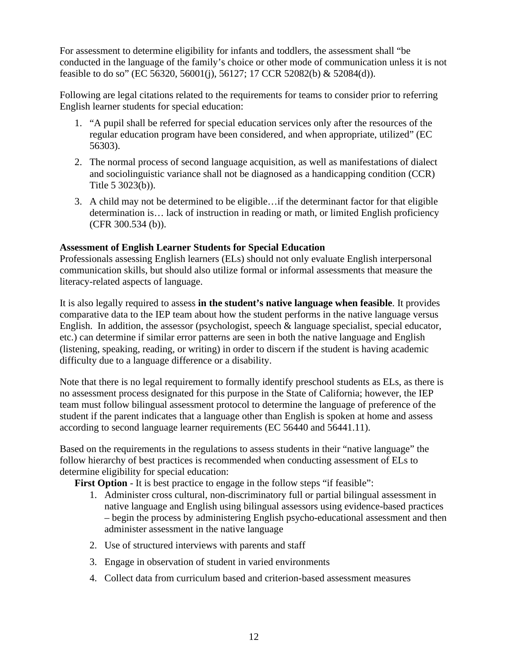For assessment to determine eligibility for infants and toddlers, the assessment shall "be conducted in the language of the family's choice or other mode of communication unless it is not feasible to do so" (EC 56320, 56001(j), 56127; 17 CCR 52082(b) & 52084(d)).

Following are legal citations related to the requirements for teams to consider prior to referring English learner students for special education:

- 1. "A pupil shall be referred for special education services only after the resources of the regular education program have been considered, and when appropriate, utilized" (EC 56303).
- 2. The normal process of second language acquisition, as well as manifestations of dialect and sociolinguistic variance shall not be diagnosed as a handicapping condition (CCR) Title 5 3023(b)).
- 3. A child may not be determined to be eligible…if the determinant factor for that eligible determination is… lack of instruction in reading or math, or limited English proficiency (CFR 300.534 (b)).

#### **Assessment of English Learner Students for Special Education**

Professionals assessing English learners (ELs) should not only evaluate English interpersonal communication skills, but should also utilize formal or informal assessments that measure the literacy-related aspects of language.

It is also legally required to assess **in the student's native language when feasible**. It provides comparative data to the IEP team about how the student performs in the native language versus English. In addition, the assessor (psychologist, speech & language specialist, special educator, etc.) can determine if similar error patterns are seen in both the native language and English (listening, speaking, reading, or writing) in order to discern if the student is having academic difficulty due to a language difference or a disability.

Note that there is no legal requirement to formally identify preschool students as ELs, as there is no assessment process designated for this purpose in the State of California; however, the IEP team must follow bilingual assessment protocol to determine the language of preference of the student if the parent indicates that a language other than English is spoken at home and assess according to second language learner requirements (EC 56440 and 56441.11).

Based on the requirements in the regulations to assess students in their "native language" the follow hierarchy of best practices is recommended when conducting assessment of ELs to determine eligibility for special education:

**First Option** - It is best practice to engage in the follow steps "if feasible":

- 1. Administer cross cultural, non-discriminatory full or partial bilingual assessment in native language and English using bilingual assessors using evidence-based practices – begin the process by administering English psycho-educational assessment and then administer assessment in the native language
- 2. Use of structured interviews with parents and staff
- 3. Engage in observation of student in varied environments
- 4. Collect data from curriculum based and criterion-based assessment measures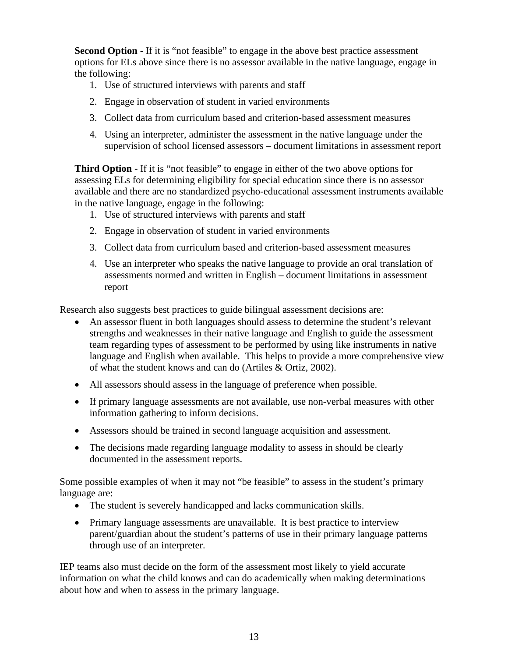**Second Option** - If it is "not feasible" to engage in the above best practice assessment options for ELs above since there is no assessor available in the native language, engage in the following:

- 1. Use of structured interviews with parents and staff
- 2. Engage in observation of student in varied environments
- 3. Collect data from curriculum based and criterion-based assessment measures
- 4. Using an interpreter, administer the assessment in the native language under the supervision of school licensed assessors – document limitations in assessment report

**Third Option** - If it is "not feasible" to engage in either of the two above options for assessing ELs for determining eligibility for special education since there is no assessor available and there are no standardized psycho-educational assessment instruments available in the native language, engage in the following:

- 1. Use of structured interviews with parents and staff
- 2. Engage in observation of student in varied environments
- 3. Collect data from curriculum based and criterion-based assessment measures
- 4. Use an interpreter who speaks the native language to provide an oral translation of assessments normed and written in English – document limitations in assessment report

Research also suggests best practices to guide bilingual assessment decisions are:

- An assessor fluent in both languages should assess to determine the student's relevant strengths and weaknesses in their native language and English to guide the assessment team regarding types of assessment to be performed by using like instruments in native language and English when available. This helps to provide a more comprehensive view of what the student knows and can do (Artiles & Ortiz, 2002).
- All assessors should assess in the language of preference when possible.
- If primary language assessments are not available, use non-verbal measures with other information gathering to inform decisions.
- Assessors should be trained in second language acquisition and assessment.
- The decisions made regarding language modality to assess in should be clearly documented in the assessment reports.

Some possible examples of when it may not "be feasible" to assess in the student's primary language are:

- The student is severely handicapped and lacks communication skills.
- Primary language assessments are unavailable. It is best practice to interview parent/guardian about the student's patterns of use in their primary language patterns through use of an interpreter.

IEP teams also must decide on the form of the assessment most likely to yield accurate information on what the child knows and can do academically when making determinations about how and when to assess in the primary language.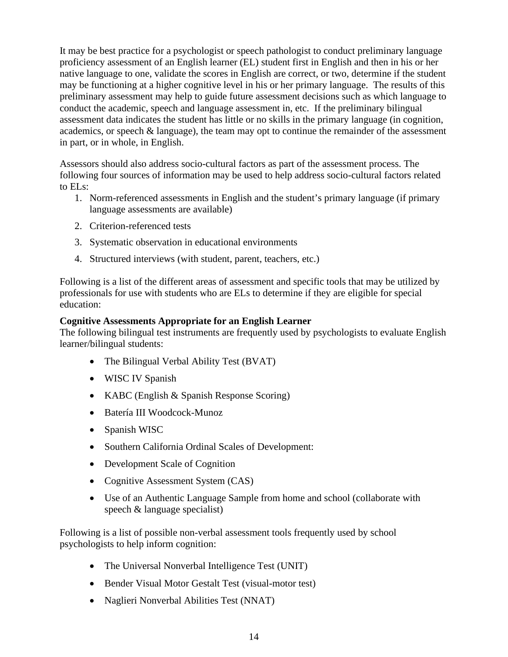It may be best practice for a psychologist or speech pathologist to conduct preliminary language proficiency assessment of an English learner (EL) student first in English and then in his or her native language to one, validate the scores in English are correct, or two, determine if the student may be functioning at a higher cognitive level in his or her primary language. The results of this preliminary assessment may help to guide future assessment decisions such as which language to conduct the academic, speech and language assessment in, etc. If the preliminary bilingual assessment data indicates the student has little or no skills in the primary language (in cognition, academics, or speech & language), the team may opt to continue the remainder of the assessment in part, or in whole, in English.

Assessors should also address socio-cultural factors as part of the assessment process. The following four sources of information may be used to help address socio-cultural factors related to ELs:

- 1. Norm-referenced assessments in English and the student's primary language (if primary language assessments are available)
- 2. Criterion-referenced tests
- 3. Systematic observation in educational environments
- 4. Structured interviews (with student, parent, teachers, etc.)

Following is a list of the different areas of assessment and specific tools that may be utilized by professionals for use with students who are ELs to determine if they are eligible for special education:

# **Cognitive Assessments Appropriate for an English Learner**

The following bilingual test instruments are frequently used by psychologists to evaluate English learner/bilingual students:

- The Bilingual Verbal Ability Test (BVAT)
- WISC IV Spanish
- KABC (English & Spanish Response Scoring)
- Batería III Woodcock-Munoz
- Spanish WISC
- Southern California Ordinal Scales of Development:
- Development Scale of Cognition
- Cognitive Assessment System (CAS)
- Use of an Authentic Language Sample from home and school (collaborate with speech & language specialist)

Following is a list of possible non-verbal assessment tools frequently used by school psychologists to help inform cognition:

- The Universal Nonverbal Intelligence Test (UNIT)
- Bender Visual Motor Gestalt Test (visual-motor test)
- Naglieri Nonverbal Abilities Test (NNAT)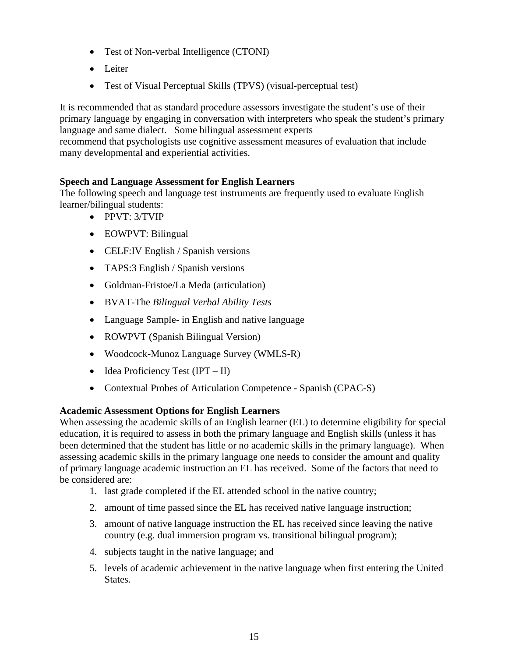- Test of Non-verbal Intelligence (CTONI)
- Leiter
- Test of Visual Perceptual Skills (TPVS) (visual-perceptual test)

It is recommended that as standard procedure assessors investigate the student's use of their primary language by engaging in conversation with interpreters who speak the student's primary language and same dialect. Some bilingual assessment experts

recommend that psychologists use cognitive assessment measures of evaluation that include many developmental and experiential activities.

# **Speech and Language Assessment for English Learners**

The following speech and language test instruments are frequently used to evaluate English learner/bilingual students:

- PPVT: 3/TVIP
- EOWPVT: Bilingual
- CELF:IV English / Spanish versions
- TAPS:3 English / Spanish versions
- Goldman-Fristoe/La Meda (articulation)
- BVAT-The *Bilingual Verbal Ability Tests*
- Language Sample- in English and native language
- ROWPVT (Spanish Bilingual Version)
- Woodcock-Munoz Language Survey (WMLS-R)
- Idea Proficiency Test  $(IPT II)$
- Contextual Probes of Articulation Competence Spanish (CPAC-S)

# **Academic Assessment Options for English Learners**

When assessing the academic skills of an English learner (EL) to determine eligibility for special education, it is required to assess in both the primary language and English skills (unless it has been determined that the student has little or no academic skills in the primary language). When assessing academic skills in the primary language one needs to consider the amount and quality of primary language academic instruction an EL has received. Some of the factors that need to be considered are:

- 1. last grade completed if the EL attended school in the native country;
- 2. amount of time passed since the EL has received native language instruction;
- 3. amount of native language instruction the EL has received since leaving the native country (e.g. dual immersion program vs. transitional bilingual program);
- 4. subjects taught in the native language; and
- 5. levels of academic achievement in the native language when first entering the United States.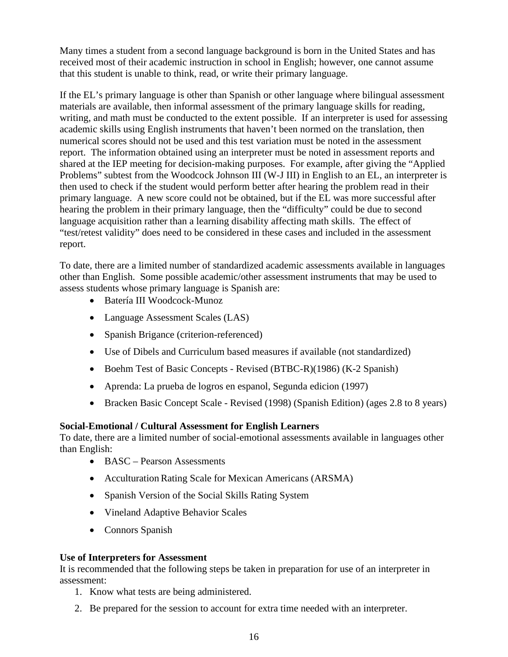Many times a student from a second language background is born in the United States and has received most of their academic instruction in school in English; however, one cannot assume that this student is unable to think, read, or write their primary language.

If the EL's primary language is other than Spanish or other language where bilingual assessment materials are available, then informal assessment of the primary language skills for reading, writing, and math must be conducted to the extent possible. If an interpreter is used for assessing academic skills using English instruments that haven't been normed on the translation, then numerical scores should not be used and this test variation must be noted in the assessment report. The information obtained using an interpreter must be noted in assessment reports and shared at the IEP meeting for decision-making purposes. For example, after giving the "Applied Problems" subtest from the Woodcock Johnson III (W-J III) in English to an EL, an interpreter is then used to check if the student would perform better after hearing the problem read in their primary language. A new score could not be obtained, but if the EL was more successful after hearing the problem in their primary language, then the "difficulty" could be due to second language acquisition rather than a learning disability affecting math skills. The effect of "test/retest validity" does need to be considered in these cases and included in the assessment report.

To date, there are a limited number of standardized academic assessments available in languages other than English. Some possible academic/other assessment instruments that may be used to assess students whose primary language is Spanish are:

- Batería III Woodcock-Munoz
- Language Assessment Scales (LAS)
- Spanish Brigance (criterion-referenced)
- Use of Dibels and Curriculum based measures if available (not standardized)
- Boehm Test of Basic Concepts Revised (BTBC-R)(1986) (K-2 Spanish)
- Aprenda: La prueba de logros en espanol, Segunda edicion (1997)
- Bracken Basic Concept Scale Revised (1998) (Spanish Edition) (ages 2.8 to 8 years)

# **Social-Emotional / Cultural Assessment for English Learners**

To date, there are a limited number of social-emotional assessments available in languages other than English:

- BASC Pearson Assessments
- Acculturation Rating Scale for Mexican Americans (ARSMA)
- Spanish Version of the Social Skills Rating System
- Vineland Adaptive Behavior Scales
- Connors Spanish

# **Use of Interpreters for Assessment**

It is recommended that the following steps be taken in preparation for use of an interpreter in assessment:

- 1. Know what tests are being administered.
- 2. Be prepared for the session to account for extra time needed with an interpreter.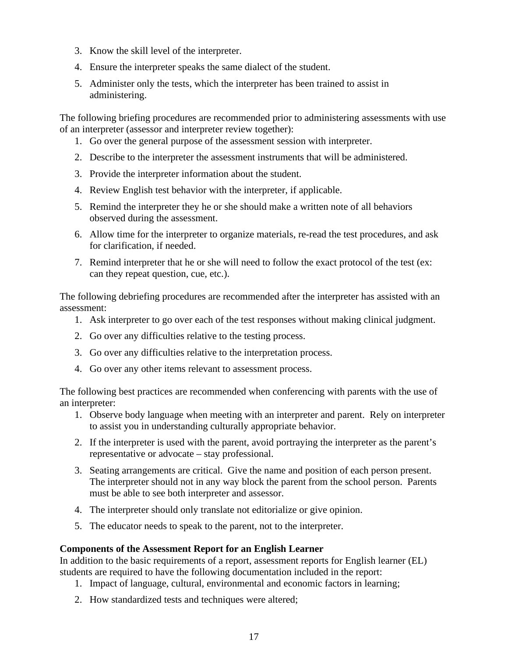- 3. Know the skill level of the interpreter.
- 4. Ensure the interpreter speaks the same dialect of the student.
- 5. Administer only the tests, which the interpreter has been trained to assist in administering.

The following briefing procedures are recommended prior to administering assessments with use of an interpreter (assessor and interpreter review together):

- 1. Go over the general purpose of the assessment session with interpreter.
- 2. Describe to the interpreter the assessment instruments that will be administered.
- 3. Provide the interpreter information about the student.
- 4. Review English test behavior with the interpreter, if applicable.
- 5. Remind the interpreter they he or she should make a written note of all behaviors observed during the assessment.
- 6. Allow time for the interpreter to organize materials, re-read the test procedures, and ask for clarification, if needed.
- 7. Remind interpreter that he or she will need to follow the exact protocol of the test (ex: can they repeat question, cue, etc.).

The following debriefing procedures are recommended after the interpreter has assisted with an assessment:

- 1. Ask interpreter to go over each of the test responses without making clinical judgment.
- 2. Go over any difficulties relative to the testing process.
- 3. Go over any difficulties relative to the interpretation process.
- 4. Go over any other items relevant to assessment process.

The following best practices are recommended when conferencing with parents with the use of an interpreter:

- 1. Observe body language when meeting with an interpreter and parent. Rely on interpreter to assist you in understanding culturally appropriate behavior.
- 2. If the interpreter is used with the parent, avoid portraying the interpreter as the parent's representative or advocate – stay professional.
- 3. Seating arrangements are critical. Give the name and position of each person present. The interpreter should not in any way block the parent from the school person. Parents must be able to see both interpreter and assessor.
- 4. The interpreter should only translate not editorialize or give opinion.
- 5. The educator needs to speak to the parent, not to the interpreter.

#### **Components of the Assessment Report for an English Learner**

In addition to the basic requirements of a report, assessment reports for English learner (EL) students are required to have the following documentation included in the report:

- 1. Impact of language, cultural, environmental and economic factors in learning;
- 2. How standardized tests and techniques were altered;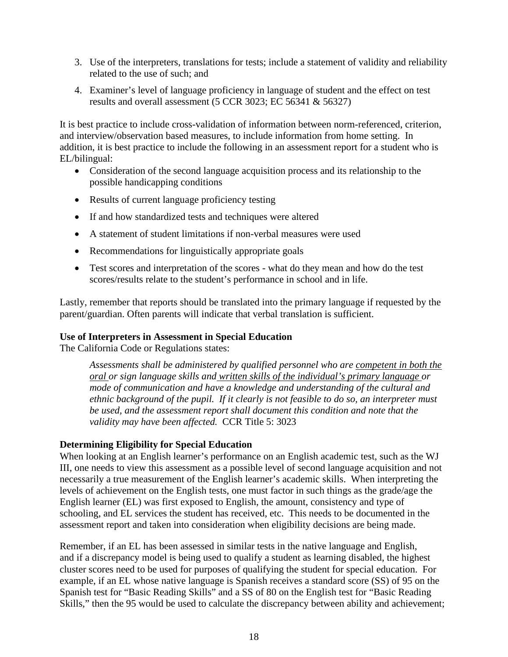- 3. Use of the interpreters, translations for tests; include a statement of validity and reliability related to the use of such; and
- 4. Examiner's level of language proficiency in language of student and the effect on test results and overall assessment (5 CCR 3023; EC 56341 & 56327)

It is best practice to include cross-validation of information between norm-referenced, criterion, and interview/observation based measures, to include information from home setting. In addition, it is best practice to include the following in an assessment report for a student who is EL/bilingual:

- Consideration of the second language acquisition process and its relationship to the possible handicapping conditions
- Results of current language proficiency testing
- If and how standardized tests and techniques were altered
- A statement of student limitations if non-verbal measures were used
- Recommendations for linguistically appropriate goals
- Test scores and interpretation of the scores what do they mean and how do the test scores/results relate to the student's performance in school and in life.

Lastly, remember that reports should be translated into the primary language if requested by the parent/guardian. Often parents will indicate that verbal translation is sufficient.

#### **Use of Interpreters in Assessment in Special Education**

The California Code or Regulations states:

*Assessments shall be administered by qualified personnel who are competent in both the oral or sign language skills and written skills of the individual's primary language or mode of communication and have a knowledge and understanding of the cultural and ethnic background of the pupil. If it clearly is not feasible to do so, an interpreter must be used, and the assessment report shall document this condition and note that the validity may have been affected.* CCR Title 5: 3023

#### **Determining Eligibility for Special Education**

When looking at an English learner's performance on an English academic test, such as the WJ III, one needs to view this assessment as a possible level of second language acquisition and not necessarily a true measurement of the English learner's academic skills. When interpreting the levels of achievement on the English tests, one must factor in such things as the grade/age the English learner (EL) was first exposed to English, the amount, consistency and type of schooling, and EL services the student has received, etc. This needs to be documented in the assessment report and taken into consideration when eligibility decisions are being made.

Remember, if an EL has been assessed in similar tests in the native language and English, and if a discrepancy model is being used to qualify a student as learning disabled, the highest cluster scores need to be used for purposes of qualifying the student for special education. For example, if an EL whose native language is Spanish receives a standard score (SS) of 95 on the Spanish test for "Basic Reading Skills" and a SS of 80 on the English test for "Basic Reading Skills," then the 95 would be used to calculate the discrepancy between ability and achievement;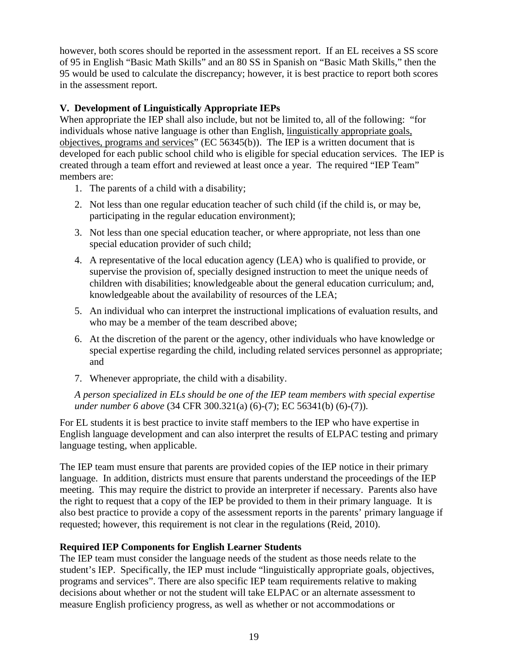however, both scores should be reported in the assessment report. If an EL receives a SS score of 95 in English "Basic Math Skills" and an 80 SS in Spanish on "Basic Math Skills," then the 95 would be used to calculate the discrepancy; however, it is best practice to report both scores in the assessment report.

#### **V. Development of Linguistically Appropriate IEPs**

When appropriate the IEP shall also include, but not be limited to, all of the following: "for individuals whose native language is other than English, linguistically appropriate goals, objectives, programs and services" (EC 56345(b)). The IEP is a written document that is developed for each public school child who is eligible for special education services. The IEP is created through a team effort and reviewed at least once a year. The required "IEP Team" members are:

- 1. The parents of a child with a disability;
- 2. Not less than one regular education teacher of such child (if the child is, or may be, participating in the regular education environment);
- 3. Not less than one special education teacher, or where appropriate, not less than one special education provider of such child;
- 4. A representative of the local education agency (LEA) who is qualified to provide, or supervise the provision of, specially designed instruction to meet the unique needs of children with disabilities; knowledgeable about the general education curriculum; and, knowledgeable about the availability of resources of the LEA;
- 5. An individual who can interpret the instructional implications of evaluation results, and who may be a member of the team described above;
- 6. At the discretion of the parent or the agency, other individuals who have knowledge or special expertise regarding the child, including related services personnel as appropriate; and
- 7. Whenever appropriate, the child with a disability.

*A person specialized in ELs should be one of the IEP team members with special expertise under number 6 above* (34 CFR 300.321(a) (6)-(7); EC 56341(b) (6)-(7)).

For EL students it is best practice to invite staff members to the IEP who have expertise in English language development and can also interpret the results of ELPAC testing and primary language testing, when applicable.

The IEP team must ensure that parents are provided copies of the IEP notice in their primary language. In addition, districts must ensure that parents understand the proceedings of the IEP meeting. This may require the district to provide an interpreter if necessary. Parents also have the right to request that a copy of the IEP be provided to them in their primary language. It is also best practice to provide a copy of the assessment reports in the parents' primary language if requested; however, this requirement is not clear in the regulations (Reid, 2010).

# **Required IEP Components for English Learner Students**

The IEP team must consider the language needs of the student as those needs relate to the student's IEP. Specifically, the IEP must include "linguistically appropriate goals, objectives, programs and services". There are also specific IEP team requirements relative to making decisions about whether or not the student will take ELPAC or an alternate assessment to measure English proficiency progress, as well as whether or not accommodations or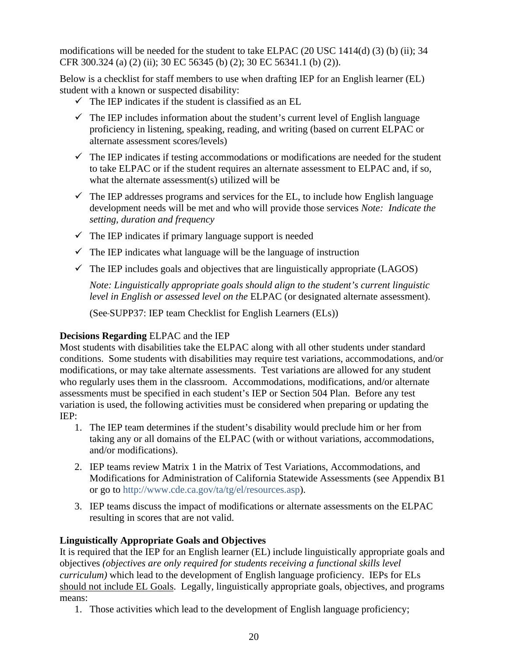modifications will be needed for the student to take ELPAC (20 USC 1414(d) (3) (b) (ii); 34 CFR 300.324 (a) (2) (ii); 30 EC 56345 (b) (2); 30 EC 56341.1 (b) (2)).

Below is a checklist for staff members to use when drafting IEP for an English learner (EL) student with a known or suspected disability:

- $\checkmark$  The IEP indicates if the student is classified as an EL
- $\checkmark$  The IEP includes information about the student's current level of English language proficiency in listening, speaking, reading, and writing (based on current ELPAC or alternate assessment scores/levels)
- $\checkmark$  The IEP indicates if testing accommodations or modifications are needed for the student to take ELPAC or if the student requires an alternate assessment to ELPAC and, if so, what the alternate assessment(s) utilized will be
- $\checkmark$  The IEP addresses programs and services for the EL, to include how English language development needs will be met and who will provide those services *Note: Indicate the setting, duration and frequency*
- $\checkmark$  The IEP indicates if primary language support is needed
- $\checkmark$  The IEP indicates what language will be the language of instruction
- $\checkmark$  The IEP includes goals and objectives that are linguistically appropriate (LAGOS)

*Note: Linguistically appropriate goals should align to the student's current linguistic level in English or assessed level on the* ELPAC (or designated alternate assessment).

(See SUPP37: IEP team Checklist for English Learners (ELs))

# **Decisions Regarding** ELPAC and the IEP

Most students with disabilities take the ELPAC along with all other students under standard conditions. Some students with disabilities may require test variations, accommodations, and/or modifications, or may take alternate assessments. Test variations are allowed for any student who regularly uses them in the classroom. Accommodations, modifications, and/or alternate assessments must be specified in each student's IEP or Section 504 Plan. Before any test variation is used, the following activities must be considered when preparing or updating the IEP:

- 1. The IEP team determines if the student's disability would preclude him or her from taking any or all domains of the ELPAC (with or without variations, accommodations, and/or modifications).
- 2. IEP teams review Matrix 1 in the Matrix of Test Variations, Accommodations, and Modifications for Administration of California Statewide Assessments (see Appendix B1 or go to [http://www.cde.ca.gov/ta/tg/el/resources.asp\)](http://www.cde.ca.gov/ta/tg/el/resources.asp).
- 3. IEP teams discuss the impact of modifications or alternate assessments on the ELPAC resulting in scores that are not valid.

# **Linguistically Appropriate Goals and Objectives**

It is required that the IEP for an English learner (EL) include linguistically appropriate goals and objectives *(objectives are only required for students receiving a functional skills level curriculum)* which lead to the development of English language proficiency. IEPs for ELs should not include EL Goals. Legally, linguistically appropriate goals, objectives, and programs means:

1. Those activities which lead to the development of English language proficiency;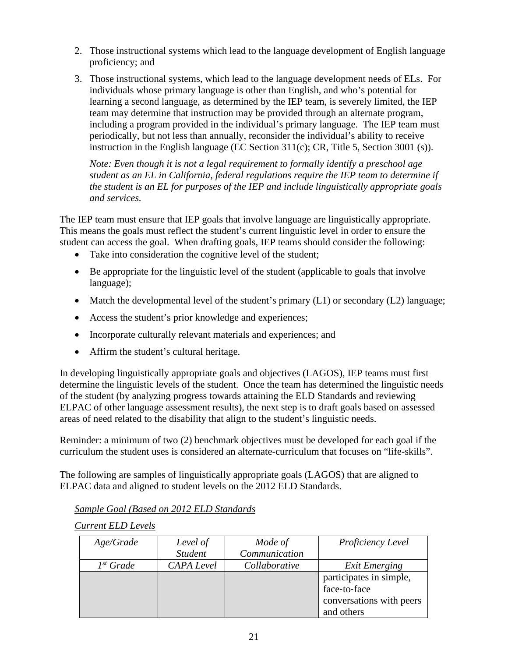- 2. Those instructional systems which lead to the language development of English language proficiency; and
- 3. Those instructional systems, which lead to the language development needs of ELs. For individuals whose primary language is other than English, and who's potential for learning a second language, as determined by the IEP team, is severely limited, the IEP team may determine that instruction may be provided through an alternate program, including a program provided in the individual's primary language. The IEP team must periodically, but not less than annually, reconsider the individual's ability to receive instruction in the English language (EC Section 311(c); CR, Title 5, Section 3001 (s)).

*Note: Even though it is not a legal requirement to formally identify a preschool age student as an EL in California, federal regulations require the IEP team to determine if the student is an EL for purposes of the IEP and include linguistically appropriate goals and services.*

The IEP team must ensure that IEP goals that involve language are linguistically appropriate. This means the goals must reflect the student's current linguistic level in order to ensure the student can access the goal. When drafting goals, IEP teams should consider the following:

- Take into consideration the cognitive level of the student;
- Be appropriate for the linguistic level of the student (applicable to goals that involve language);
- Match the developmental level of the student's primary (L1) or secondary (L2) language;
- Access the student's prior knowledge and experiences;
- Incorporate culturally relevant materials and experiences; and
- Affirm the student's cultural heritage.

In developing linguistically appropriate goals and objectives (LAGOS), IEP teams must first determine the linguistic levels of the student. Once the team has determined the linguistic needs of the student (by analyzing progress towards attaining the ELD Standards and reviewing ELPAC of other language assessment results), the next step is to draft goals based on assessed areas of need related to the disability that align to the student's linguistic needs.

Reminder: a minimum of two (2) benchmark objectives must be developed for each goal if the curriculum the student uses is considered an alternate-curriculum that focuses on "life-skills".

The following are samples of linguistically appropriate goals (LAGOS) that are aligned to ELPAC data and aligned to student levels on the 2012 ELD Standards.

*Sample Goal (Based on 2012 ELD Standards*

*Current ELD Levels*

| Age/Grade      | Level of       | Mode of       | Proficiency Level                       |
|----------------|----------------|---------------|-----------------------------------------|
|                | <b>Student</b> | Communication |                                         |
| $I^{st}$ Grade | CAPA Level     | Collaborative | <b>Exit Emerging</b>                    |
|                |                |               | participates in simple,<br>face-to-face |
|                |                |               | conversations with peers<br>and others  |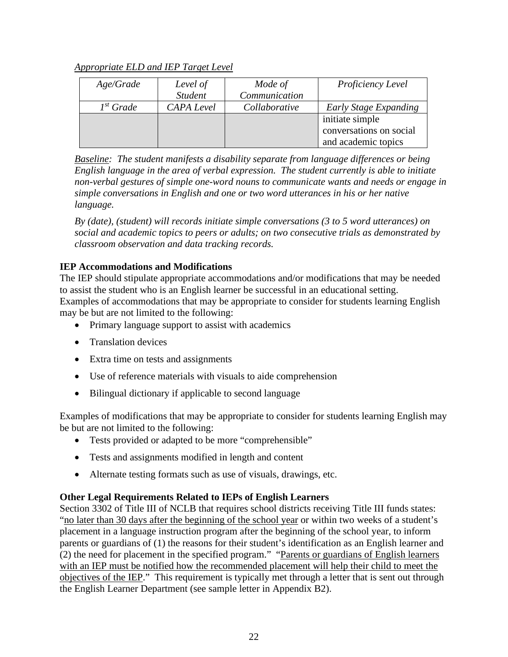# *Appropriate ELD and IEP Target Level*

| Age/Grade      | Level of          | Mode of       | Proficiency Level       |
|----------------|-------------------|---------------|-------------------------|
|                | <b>Student</b>    | Communication |                         |
| $I^{st}$ Grade | <b>CAPA</b> Level | Collaborative | Early Stage Expanding   |
|                |                   |               | initiate simple         |
|                |                   |               | conversations on social |
|                |                   |               | and academic topics     |

*Baseline: The student manifests a disability separate from language differences or being English language in the area of verbal expression. The student currently is able to initiate non-verbal gestures of simple one-word nouns to communicate wants and needs or engage in simple conversations in English and one or two word utterances in his or her native language.* 

*By (date), (student) will records initiate simple conversations (3 to 5 word utterances) on social and academic topics to peers or adults; on two consecutive trials as demonstrated by classroom observation and data tracking records.*

# **IEP Accommodations and Modifications**

The IEP should stipulate appropriate accommodations and/or modifications that may be needed to assist the student who is an English learner be successful in an educational setting. Examples of accommodations that may be appropriate to consider for students learning English may be but are not limited to the following:

- Primary language support to assist with academics
- Translation devices
- Extra time on tests and assignments
- Use of reference materials with visuals to aide comprehension
- Bilingual dictionary if applicable to second language

Examples of modifications that may be appropriate to consider for students learning English may be but are not limited to the following:

- Tests provided or adapted to be more "comprehensible"
- Tests and assignments modified in length and content
- Alternate testing formats such as use of visuals, drawings, etc.

# **Other Legal Requirements Related to IEPs of English Learners**

Section 3302 of Title III of NCLB that requires school districts receiving Title III funds states: "no later than 30 days after the beginning of the school year or within two weeks of a student's placement in a language instruction program after the beginning of the school year, to inform parents or guardians of (1) the reasons for their student's identification as an English learner and (2) the need for placement in the specified program." "Parents or guardians of English learners with an IEP must be notified how the recommended placement will help their child to meet the objectives of the IEP." This requirement is typically met through a letter that is sent out through the English Learner Department (see sample letter in Appendix B2).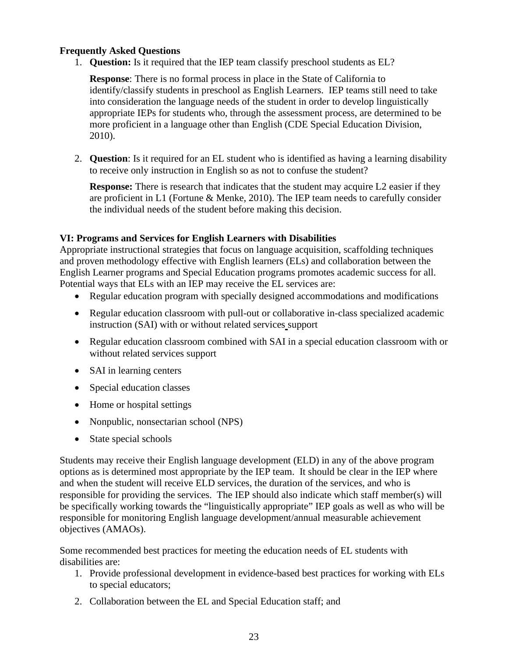# **Frequently Asked Questions**

1. **Question:** Is it required that the IEP team classify preschool students as EL?

**Response**: There is no formal process in place in the State of California to identify/classify students in preschool as English Learners. IEP teams still need to take into consideration the language needs of the student in order to develop linguistically appropriate IEPs for students who, through the assessment process, are determined to be more proficient in a language other than English (CDE Special Education Division, 2010).

2. **Question**: Is it required for an EL student who is identified as having a learning disability to receive only instruction in English so as not to confuse the student?

**Response:** There is research that indicates that the student may acquire L2 easier if they are proficient in L1 (Fortune & Menke, 2010). The IEP team needs to carefully consider the individual needs of the student before making this decision.

# **VI: Programs and Services for English Learners with Disabilities**

Appropriate instructional strategies that focus on language acquisition, scaffolding techniques and proven methodology effective with English learners (ELs) and collaboration between the English Learner programs and Special Education programs promotes academic success for all. Potential ways that ELs with an IEP may receive the EL services are:

- Regular education program with specially designed accommodations and modifications
- Regular education classroom with pull-out or collaborative in-class specialized academic instruction (SAI) with or without related services support
- Regular education classroom combined with SAI in a special education classroom with or without related services support
- SAI in learning centers
- Special education classes
- Home or hospital settings
- Nonpublic, nonsectarian school (NPS)
- State special schools

Students may receive their English language development (ELD) in any of the above program options as is determined most appropriate by the IEP team. It should be clear in the IEP where and when the student will receive ELD services, the duration of the services, and who is responsible for providing the services. The IEP should also indicate which staff member(s) will be specifically working towards the "linguistically appropriate" IEP goals as well as who will be responsible for monitoring English language development/annual measurable achievement objectives (AMAOs).

Some recommended best practices for meeting the education needs of EL students with disabilities are:

- 1. Provide professional development in evidence-based best practices for working with ELs to special educators;
- 2. Collaboration between the EL and Special Education staff; and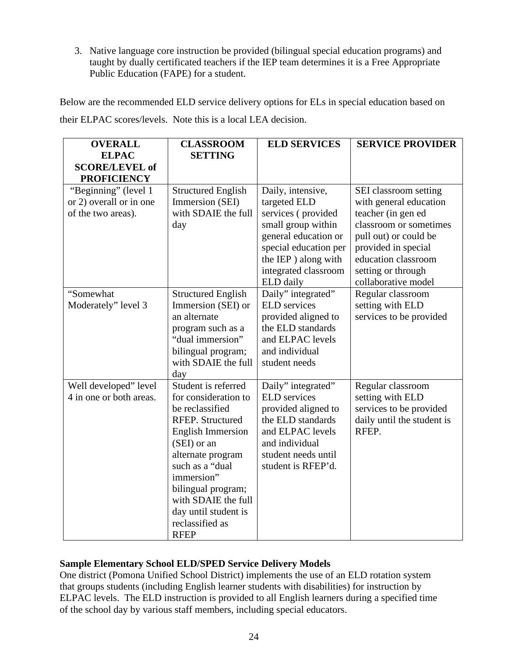3. Native language core instruction be provided (bilingual special education programs) and taught by dually certificated teachers if the IEP team determines it is a Free Appropriate Public Education (FAPE) for a student.

Below are the recommended ELD service delivery options for ELs in special education based on their ELPAC scores/levels. Note this is a local LEA decision.

| <b>OVERALL</b><br><b>ELPAC</b>                                        | <b>CLASSROOM</b><br><b>SETTING</b>                                                                                                                                                                                                                                                         | <b>ELD SERVICES</b>                                                                                                                                                                        | <b>SERVICE PROVIDER</b>                                                                                                                                                                                             |
|-----------------------------------------------------------------------|--------------------------------------------------------------------------------------------------------------------------------------------------------------------------------------------------------------------------------------------------------------------------------------------|--------------------------------------------------------------------------------------------------------------------------------------------------------------------------------------------|---------------------------------------------------------------------------------------------------------------------------------------------------------------------------------------------------------------------|
| <b>SCORE/LEVEL of</b><br><b>PROFICIENCY</b>                           |                                                                                                                                                                                                                                                                                            |                                                                                                                                                                                            |                                                                                                                                                                                                                     |
| "Beginning" (level 1<br>or 2) overall or in one<br>of the two areas). | <b>Structured English</b><br>Immersion (SEI)<br>with SDAIE the full<br>day                                                                                                                                                                                                                 | Daily, intensive,<br>targeted ELD<br>services (provided<br>small group within<br>general education or<br>special education per<br>the IEP) along with<br>integrated classroom<br>ELD daily | SEI classroom setting<br>with general education<br>teacher (in gen ed<br>classroom or sometimes<br>pull out) or could be<br>provided in special<br>education classroom<br>setting or through<br>collaborative model |
| "Somewhat<br>Moderately" level 3                                      | <b>Structured English</b><br>Immersion (SEI) or<br>an alternate<br>program such as a<br>"dual immersion"<br>bilingual program;<br>with SDAIE the full<br>day                                                                                                                               | Daily" integrated"<br><b>ELD</b> services<br>provided aligned to<br>the ELD standards<br>and ELPAC levels<br>and individual<br>student needs                                               | Regular classroom<br>setting with ELD<br>services to be provided                                                                                                                                                    |
| Well developed" level<br>4 in one or both areas.                      | Student is referred<br>for consideration to<br>be reclassified<br>RFEP. Structured<br><b>English Immersion</b><br>(SEI) or an<br>alternate program<br>such as a "dual<br>immersion"<br>bilingual program;<br>with SDAIE the full<br>day until student is<br>reclassified as<br><b>RFEP</b> | Daily" integrated"<br><b>ELD</b> services<br>provided aligned to<br>the ELD standards<br>and ELPAC levels<br>and individual<br>student needs until<br>student is RFEP'd.                   | Regular classroom<br>setting with ELD<br>services to be provided<br>daily until the student is<br>RFEP.                                                                                                             |

# **Sample Elementary School ELD/SPED Service Delivery Models**

One district (Pomona Unified School District) implements the use of an ELD rotation system that groups students (including English learner students with disabilities) for instruction by ELPAC levels. The ELD instruction is provided to all English learners during a specified time of the school day by various staff members, including special educators.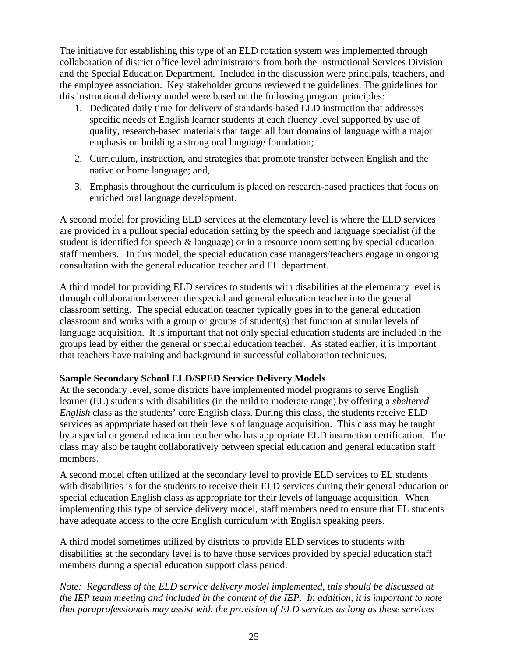The initiative for establishing this type of an ELD rotation system was implemented through collaboration of district office level administrators from both the Instructional Services Division and the Special Education Department. Included in the discussion were principals, teachers, and the employee association. Key stakeholder groups reviewed the guidelines. The guidelines for this instructional delivery model were based on the following program principles:

- 1. Dedicated daily time for delivery of standards-based ELD instruction that addresses specific needs of English learner students at each fluency level supported by use of quality, research-based materials that target all four domains of language with a major emphasis on building a strong oral language foundation;
- 2. Curriculum, instruction, and strategies that promote transfer between English and the native or home language; and,
- 3. Emphasis throughout the curriculum is placed on research-based practices that focus on enriched oral language development.

A second model for providing ELD services at the elementary level is where the ELD services are provided in a pullout special education setting by the speech and language specialist (if the student is identified for speech & language) or in a resource room setting by special education staff members. In this model, the special education case managers/teachers engage in ongoing consultation with the general education teacher and EL department.

A third model for providing ELD services to students with disabilities at the elementary level is through collaboration between the special and general education teacher into the general classroom setting. The special education teacher typically goes in to the general education classroom and works with a group or groups of student(s) that function at similar levels of language acquisition. It is important that not only special education students are included in the groups lead by either the general or special education teacher. As stated earlier, it is important that teachers have training and background in successful collaboration techniques.

# **Sample Secondary School ELD/SPED Service Delivery Models**

At the secondary level, some districts have implemented model programs to serve English learner (EL) students with disabilities (in the mild to moderate range) by offering a *sheltered English* class as the students' core English class. During this class, the students receive ELD services as appropriate based on their levels of language acquisition. This class may be taught by a special or general education teacher who has appropriate ELD instruction certification. The class may also be taught collaboratively between special education and general education staff members.

A second model often utilized at the secondary level to provide ELD services to EL students with disabilities is for the students to receive their ELD services during their general education or special education English class as appropriate for their levels of language acquisition. When implementing this type of service delivery model, staff members need to ensure that EL students have adequate access to the core English curriculum with English speaking peers.

A third model sometimes utilized by districts to provide ELD services to students with disabilities at the secondary level is to have those services provided by special education staff members during a special education support class period.

*Note: Regardless of the ELD service delivery model implemented, this should be discussed at the IEP team meeting and included in the content of the IEP. In addition, it is important to note that paraprofessionals may assist with the provision of ELD services as long as these services*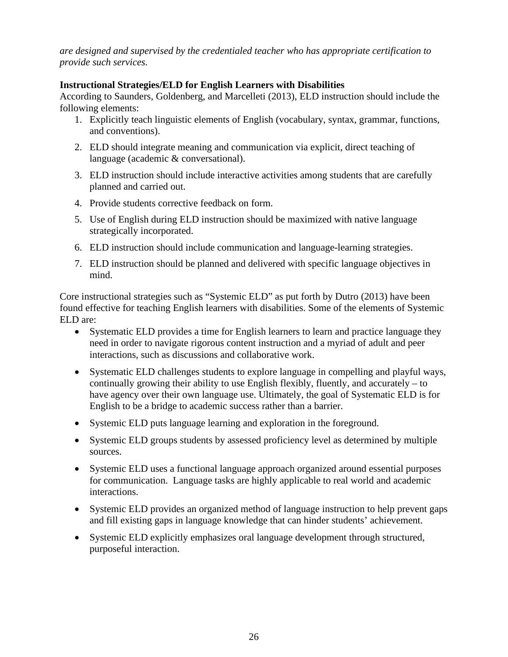*are designed and supervised by the credentialed teacher who has appropriate certification to provide such services.*

# **Instructional Strategies/ELD for English Learners with Disabilities**

According to Saunders, Goldenberg, and Marcelleti (2013), ELD instruction should include the following elements:

- 1. Explicitly teach linguistic elements of English (vocabulary, syntax, grammar, functions, and conventions).
- 2. ELD should integrate meaning and communication via explicit, direct teaching of language (academic & conversational).
- 3. ELD instruction should include interactive activities among students that are carefully planned and carried out.
- 4. Provide students corrective feedback on form.
- 5. Use of English during ELD instruction should be maximized with native language strategically incorporated.
- 6. ELD instruction should include communication and language-learning strategies.
- 7. ELD instruction should be planned and delivered with specific language objectives in mind.

Core instructional strategies such as "Systemic ELD" as put forth by Dutro (2013) have been found effective for teaching English learners with disabilities. Some of the elements of Systemic ELD are:

- Systematic ELD provides a time for English learners to learn and practice language they need in order to navigate rigorous content instruction and a myriad of adult and peer interactions, such as discussions and collaborative work.
- Systematic ELD challenges students to explore language in compelling and playful ways, continually growing their ability to use English flexibly, fluently, and accurately – to have agency over their own language use. Ultimately, the goal of Systematic ELD is for English to be a bridge to academic success rather than a barrier.
- Systemic ELD puts language learning and exploration in the foreground.
- Systemic ELD groups students by assessed proficiency level as determined by multiple sources.
- Systemic ELD uses a functional language approach organized around essential purposes for communication. Language tasks are highly applicable to real world and academic interactions.
- Systemic ELD provides an organized method of language instruction to help prevent gaps and fill existing gaps in language knowledge that can hinder students' achievement.
- Systemic ELD explicitly emphasizes oral language development through structured, purposeful interaction.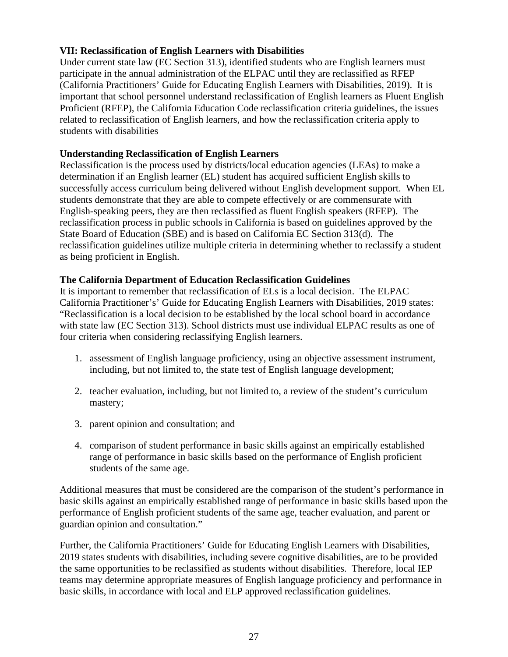# **VII: Reclassification of English Learners with Disabilities**

Under current state law (EC Section 313), identified students who are English learners must participate in the annual administration of the ELPAC until they are reclassified as RFEP (California Practitioners' Guide for Educating English Learners with Disabilities, 2019). It is important that school personnel understand reclassification of English learners as Fluent English Proficient (RFEP), the California Education Code reclassification criteria guidelines, the issues related to reclassification of English learners, and how the reclassification criteria apply to students with disabilities

# **Understanding Reclassification of English Learners**

Reclassification is the process used by districts/local education agencies (LEAs) to make a determination if an English learner (EL) student has acquired sufficient English skills to successfully access curriculum being delivered without English development support. When EL students demonstrate that they are able to compete effectively or are commensurate with English-speaking peers, they are then reclassified as fluent English speakers (RFEP). The reclassification process in public schools in California is based on guidelines approved by the State Board of Education (SBE) and is based on California EC Section 313(d). The reclassification guidelines utilize multiple criteria in determining whether to reclassify a student as being proficient in English.

# **The California Department of Education Reclassification Guidelines**

It is important to remember that reclassification of ELs is a local decision. The ELPAC California Practitioner's' Guide for Educating English Learners with Disabilities, 2019 states: "Reclassification is a local decision to be established by the local school board in accordance with state law (EC Section 313). School districts must use individual ELPAC results as one of four criteria when considering reclassifying English learners.

- 1. assessment of English language proficiency, using an objective assessment instrument, including, but not limited to, the state test of English language development;
- 2. teacher evaluation, including, but not limited to, a review of the student's curriculum mastery;
- 3. parent opinion and consultation; and
- 4. comparison of student performance in basic skills against an empirically established range of performance in basic skills based on the performance of English proficient students of the same age.

Additional measures that must be considered are the comparison of the student's performance in basic skills against an empirically established range of performance in basic skills based upon the performance of English proficient students of the same age, teacher evaluation, and parent or guardian opinion and consultation."

Further, the California Practitioners' Guide for Educating English Learners with Disabilities, 2019 states students with disabilities, including severe cognitive disabilities, are to be provided the same opportunities to be reclassified as students without disabilities. Therefore, local IEP teams may determine appropriate measures of English language proficiency and performance in basic skills, in accordance with local and ELP approved reclassification guidelines.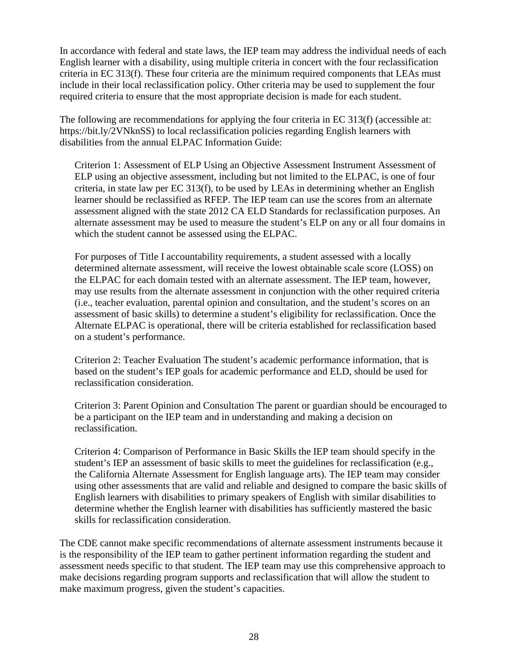In accordance with federal and state laws, the IEP team may address the individual needs of each English learner with a disability, using multiple criteria in concert with the four reclassification criteria in EC 313(f). These four criteria are the minimum required components that LEAs must include in their local reclassification policy. Other criteria may be used to supplement the four required criteria to ensure that the most appropriate decision is made for each student.

The following are recommendations for applying the four criteria in EC 313(f) (accessible at: https://bit.ly/2VNknSS) to local reclassification policies regarding English learners with disabilities from the annual ELPAC Information Guide:

Criterion 1: Assessment of ELP Using an Objective Assessment Instrument Assessment of ELP using an objective assessment, including but not limited to the ELPAC, is one of four criteria, in state law per EC 313(f), to be used by LEAs in determining whether an English learner should be reclassified as RFEP. The IEP team can use the scores from an alternate assessment aligned with the state 2012 CA ELD Standards for reclassification purposes. An alternate assessment may be used to measure the student's ELP on any or all four domains in which the student cannot be assessed using the ELPAC.

For purposes of Title I accountability requirements, a student assessed with a locally determined alternate assessment, will receive the lowest obtainable scale score (LOSS) on the ELPAC for each domain tested with an alternate assessment. The IEP team, however, may use results from the alternate assessment in conjunction with the other required criteria (i.e., teacher evaluation, parental opinion and consultation, and the student's scores on an assessment of basic skills) to determine a student's eligibility for reclassification. Once the Alternate ELPAC is operational, there will be criteria established for reclassification based on a student's performance.

Criterion 2: Teacher Evaluation The student's academic performance information, that is based on the student's IEP goals for academic performance and ELD, should be used for reclassification consideration.

Criterion 3: Parent Opinion and Consultation The parent or guardian should be encouraged to be a participant on the IEP team and in understanding and making a decision on reclassification.

Criterion 4: Comparison of Performance in Basic Skills the IEP team should specify in the student's IEP an assessment of basic skills to meet the guidelines for reclassification (e.g., the California Alternate Assessment for English language arts). The IEP team may consider using other assessments that are valid and reliable and designed to compare the basic skills of English learners with disabilities to primary speakers of English with similar disabilities to determine whether the English learner with disabilities has sufficiently mastered the basic skills for reclassification consideration.

The CDE cannot make specific recommendations of alternate assessment instruments because it is the responsibility of the IEP team to gather pertinent information regarding the student and assessment needs specific to that student. The IEP team may use this comprehensive approach to make decisions regarding program supports and reclassification that will allow the student to make maximum progress, given the student's capacities.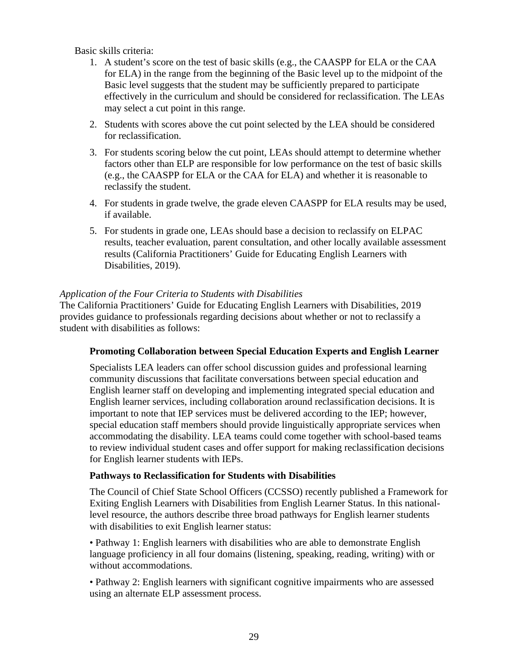Basic skills criteria:

- 1. A student's score on the test of basic skills (e.g., the CAASPP for ELA or the CAA for ELA) in the range from the beginning of the Basic level up to the midpoint of the Basic level suggests that the student may be sufficiently prepared to participate effectively in the curriculum and should be considered for reclassification. The LEAs may select a cut point in this range.
- 2. Students with scores above the cut point selected by the LEA should be considered for reclassification.
- 3. For students scoring below the cut point, LEAs should attempt to determine whether factors other than ELP are responsible for low performance on the test of basic skills (e.g., the CAASPP for ELA or the CAA for ELA) and whether it is reasonable to reclassify the student.
- 4. For students in grade twelve, the grade eleven CAASPP for ELA results may be used, if available.
- 5. For students in grade one, LEAs should base a decision to reclassify on ELPAC results, teacher evaluation, parent consultation, and other locally available assessment results (California Practitioners' Guide for Educating English Learners with Disabilities, 2019).

#### *Application of the Four Criteria to Students with Disabilities*

The California Practitioners' Guide for Educating English Learners with Disabilities, 2019 provides guidance to professionals regarding decisions about whether or not to reclassify a student with disabilities as follows:

#### **Promoting Collaboration between Special Education Experts and English Learner**

Specialists LEA leaders can offer school discussion guides and professional learning community discussions that facilitate conversations between special education and English learner staff on developing and implementing integrated special education and English learner services, including collaboration around reclassification decisions. It is important to note that IEP services must be delivered according to the IEP; however, special education staff members should provide linguistically appropriate services when accommodating the disability. LEA teams could come together with school-based teams to review individual student cases and offer support for making reclassification decisions for English learner students with IEPs.

#### **Pathways to Reclassification for Students with Disabilities**

The Council of Chief State School Officers (CCSSO) recently published a Framework for Exiting English Learners with Disabilities from English Learner Status. In this nationallevel resource, the authors describe three broad pathways for English learner students with disabilities to exit English learner status:

• Pathway 1: English learners with disabilities who are able to demonstrate English language proficiency in all four domains (listening, speaking, reading, writing) with or without accommodations.

• Pathway 2: English learners with significant cognitive impairments who are assessed using an alternate ELP assessment process.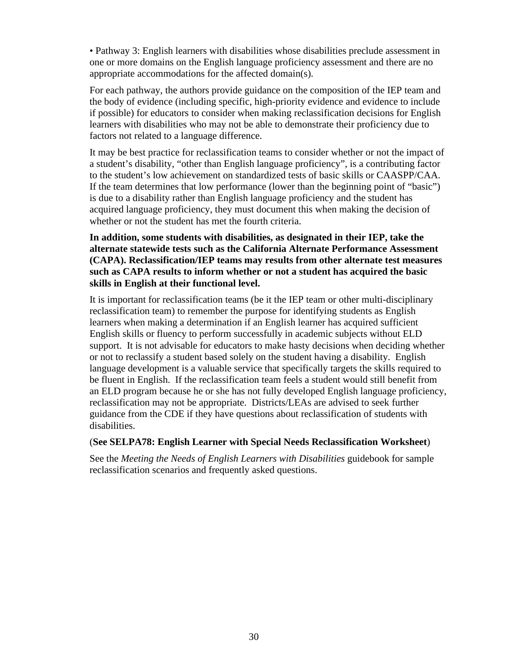• Pathway 3: English learners with disabilities whose disabilities preclude assessment in one or more domains on the English language proficiency assessment and there are no appropriate accommodations for the affected domain(s).

For each pathway, the authors provide guidance on the composition of the IEP team and the body of evidence (including specific, high-priority evidence and evidence to include if possible) for educators to consider when making reclassification decisions for English learners with disabilities who may not be able to demonstrate their proficiency due to factors not related to a language difference.

It may be best practice for reclassification teams to consider whether or not the impact of a student's disability, "other than English language proficiency", is a contributing factor to the student's low achievement on standardized tests of basic skills or CAASPP/CAA. If the team determines that low performance (lower than the beginning point of "basic") is due to a disability rather than English language proficiency and the student has acquired language proficiency, they must document this when making the decision of whether or not the student has met the fourth criteria.

#### **In addition, some students with disabilities, as designated in their IEP, take the alternate statewide tests such as the California Alternate Performance Assessment (CAPA). Reclassification/IEP teams may results from other alternate test measures such as CAPA results to inform whether or not a student has acquired the basic skills in English at their functional level.**

It is important for reclassification teams (be it the IEP team or other multi-disciplinary reclassification team) to remember the purpose for identifying students as English learners when making a determination if an English learner has acquired sufficient English skills or fluency to perform successfully in academic subjects without ELD support. It is not advisable for educators to make hasty decisions when deciding whether or not to reclassify a student based solely on the student having a disability. English language development is a valuable service that specifically targets the skills required to be fluent in English. If the reclassification team feels a student would still benefit from an ELD program because he or she has not fully developed English language proficiency, reclassification may not be appropriate. Districts/LEAs are advised to seek further guidance from the CDE if they have questions about reclassification of students with disabilities.

# (**See SELPA78: English Learner with Special Needs Reclassification Worksheet**)

See the *Meeting the Needs of English Learners with Disabilities* guidebook for sample reclassification scenarios and frequently asked questions.